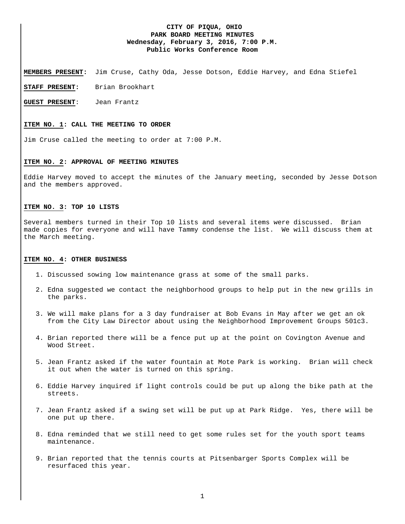## **CITY OF PIQUA, OHIO PARK BOARD MEETING MINUTES Wednesday, February 3, 2016, 7:00 P.M. Public Works Conference Room**

**MEMBERS PRESENT:** Jim Cruse, Cathy Oda, Jesse Dotson, Eddie Harvey, and Edna Stiefel

**STAFF PRESENT:** Brian Brookhart

**GUEST PRESENT**: Jean Frantz

# **ITEM NO. 1: CALL THE MEETING TO ORDER**

Jim Cruse called the meeting to order at 7:00 P.M.

#### **ITEM NO. 2: APPROVAL OF MEETING MINUTES**

Eddie Harvey moved to accept the minutes of the January meeting, seconded by Jesse Dotson and the members approved.

### **ITEM NO. 3: TOP 10 LISTS**

Several members turned in their Top 10 lists and several items were discussed. Brian made copies for everyone and will have Tammy condense the list. We will discuss them at the March meeting.

#### **ITEM NO. 4: OTHER BUSINESS**

- 1. Discussed sowing low maintenance grass at some of the small parks.
- 2. Edna suggested we contact the neighborhood groups to help put in the new grills in the parks.
- 3. We will make plans for a 3 day fundraiser at Bob Evans in May after we get an ok from the City Law Director about using the Neighborhood Improvement Groups 501c3.
- 4. Brian reported there will be a fence put up at the point on Covington Avenue and Wood Street.
- 5. Jean Frantz asked if the water fountain at Mote Park is working. Brian will check it out when the water is turned on this spring.
- 6. Eddie Harvey inquired if light controls could be put up along the bike path at the streets.
- 7. Jean Frantz asked if a swing set will be put up at Park Ridge. Yes, there will be one put up there.
- 8. Edna reminded that we still need to get some rules set for the youth sport teams maintenance.
- 9. Brian reported that the tennis courts at Pitsenbarger Sports Complex will be resurfaced this year.